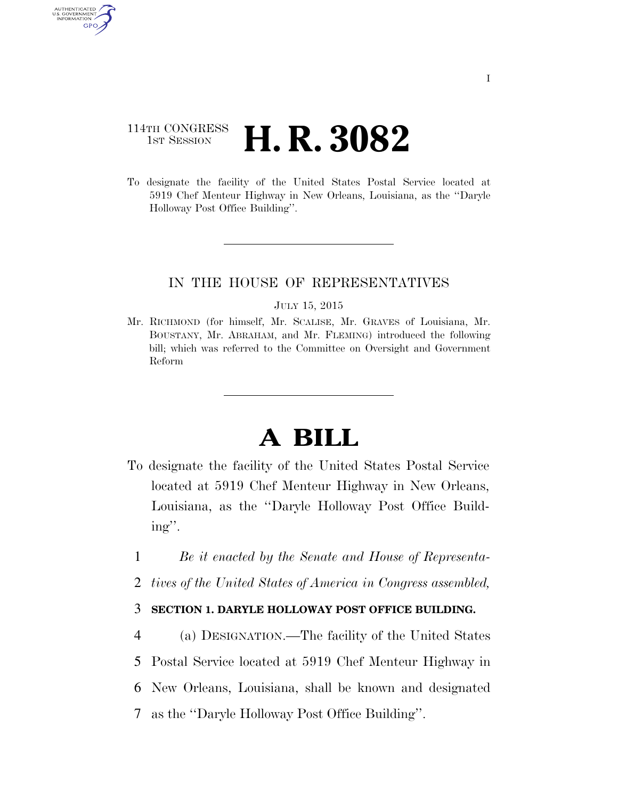# 114TH CONGRESS **1st Session H. R. 3082**

AUTHENTICATED U.S. GOVERNMENT **GPO** 

> To designate the facility of the United States Postal Service located at 5919 Chef Menteur Highway in New Orleans, Louisiana, as the ''Daryle Holloway Post Office Building''.

## IN THE HOUSE OF REPRESENTATIVES

#### JULY 15, 2015

Mr. RICHMOND (for himself, Mr. SCALISE, Mr. GRAVES of Louisiana, Mr. BOUSTANY, Mr. ABRAHAM, and Mr. FLEMING) introduced the following bill; which was referred to the Committee on Oversight and Government Reform

# **A BILL**

- To designate the facility of the United States Postal Service located at 5919 Chef Menteur Highway in New Orleans, Louisiana, as the ''Daryle Holloway Post Office Building''.
	- 1 *Be it enacted by the Senate and House of Representa-*
	- 2 *tives of the United States of America in Congress assembled,*

## 3 **SECTION 1. DARYLE HOLLOWAY POST OFFICE BUILDING.**

4 (a) DESIGNATION.—The facility of the United States

5 Postal Service located at 5919 Chef Menteur Highway in

- 6 New Orleans, Louisiana, shall be known and designated
- 7 as the ''Daryle Holloway Post Office Building''.